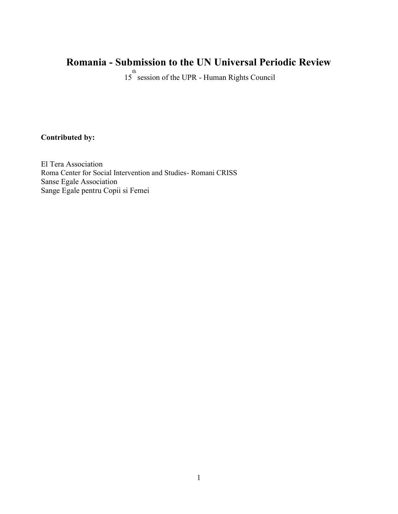# **Romania - Submission to the UN Universal Periodic Review**

15<sup>th</sup> session of the UPR - Human Rights Council

# **Contributed by:**

El Tera Association Roma Center for Social Intervention and Studies- Romani CRISS Sanse Egale Association Sange Egale pentru Copii si Femei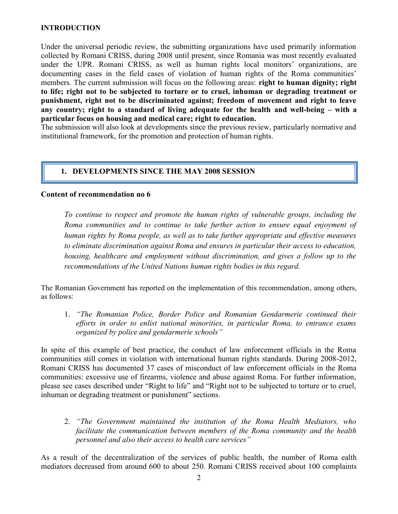#### **INTRODUCTION**

Under the universal periodic review, the submitting organizations have used primarily information collected by Romani CRISS, during 2008 until present, since Romania was most recently evaluated under the UPR. Romani CRISS, as well as human rights local monitors' organizations, are documenting cases in the field cases of violation of human rights of the Roma communities' members. The current submission will focus on the following areas: **right to human dignity; right to life; right not to be subjected to torture or to cruel, inhuman or degrading treatment or punishment, right not to be discriminated against; freedom of movement and right to leave any country; right to a standard of living adequate for the health and well-being – with a particular focus on housing and medical care; right to education.**

The submission will also look at developments since the previous review, particularly normative and institutional framework, for the promotion and protection of human rights.

#### **1. DEVELOPMENTS SINCE THE MAY 2008 SESSION**

#### **Content of recommendation no 6**

*To continue to respect and promote the human rights of vulnerable groups, including the Roma communities and to continue to take further action to ensure equal enjoyment of human rights by Roma people, as well as to take further appropriate and effective measures to eliminate discrimination against Roma and ensures in particular their access to education, housing, healthcare and employment without discrimination, and gives a follow up to the recommendations of the United Nations human rights bodies in this regard.*

The Romanian Government has reported on the implementation of this recommendation, among others, as follows:

1. *"The Romanian Police, Border Police and Romanian Gendarmerie continued their efforts in order to enlist national minorities, in particular Roma, to entrance exams organized by police and gendarmerie schools"*

In spite of this example of best practice, the conduct of law enforcement officials in the Roma communities still comes in violation with international human rights standards. During 2008-2012, Romani CRISS has documented 37 cases of misconduct of law enforcement officials in the Roma communities: excessive use of firearms, violence and abuse against Roma. For further information, please see cases described under "Right to life" and "Right not to be subjected to torture or to cruel, inhuman or degrading treatment or punishment" sections.

2. *"The Government maintained the institution of the Roma Health Mediators, who facilitate the communication between members of the Roma community and the health personnel and also their access to health care services"*

As a result of the decentralization of the services of public health, the number of Roma ealth mediators decreased from around 600 to about 250. Romani CRISS received about 100 complaints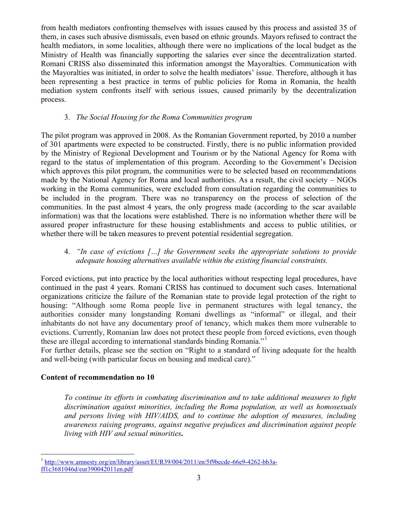from health mediators confronting themselves with issues caused by this process and assisted 35 of them, in cases such abusive dismissals, even based on ethnic grounds. Mayors refused to contract the health mediators, in some localities, although there were no implications of the local budget as the Ministry of Health was financially supporting the salaries ever since the decentralization started. Romani CRISS also disseminated this information amongst the Mayoralties. Communication with the Mayoralties was initiated, in order to solve the health mediators' issue. Therefore, although it has been representing a best practice in terms of public policies for Roma in Romania, the health mediation system confronts itself with serious issues, caused primarily by the decentralization process.

#### 3. *The Social Housing for the Roma Communities program*

The pilot program was approved in 2008. As the Romanian Government reported, by 2010 a number of 301 apartments were expected to be constructed. Firstly, there is no public information provided by the Ministry of Regional Development and Tourism or by the National Agency for Roma with regard to the status of implementation of this program. According to the Government's Decision which approves this pilot program, the communities were to be selected based on recommendations made by the National Agency for Roma and local authorities. As a result, the civil society – NGOs working in the Roma communities, were excluded from consultation regarding the communities to be included in the program. There was no transparency on the process of selection of the communities. In the past almost 4 years, the only progress made (according to the scar available information) was that the locations were established. There is no information whether there will be assured proper infrastructure for these housing establishments and access to public utilities, or whether there will be taken measures to prevent potential residential segregation.

## 4. *"In case of evictions […] the Government seeks the appropriate solutions to provide adequate housing alternatives available within the existing financial constraints.*

Forced evictions, put into practice by the local authorities without respecting legal procedures, have continued in the past 4 years. Romani CRISS has continued to document such cases. International organizations criticize the failure of the Romanian state to provide legal protection of the right to housing: "Although some Roma people live in permanent structures with legal tenancy, the authorities consider many longstanding Romani dwellings as "informal" or illegal, and their inhabitants do not have any documentary proof of tenancy, which makes them more vulnerable to evictions. Currently, Romanian law does not protect these people from forced evictions, even though these are illegal according to international standards binding Romania."<sup>1</sup>

For further details, please see the section on "Right to a standard of living adequate for the health and well-being (with particular focus on housing and medical care)."

#### **Content of recommendation no 10**

*To continue its efforts in combating discrimination and to take additional measures to fight discrimination against minorities, including the Roma population, as well as homosexuals and persons living with HIV/AIDS, and to continue the adoption of measures, including awareness raising programs, against negative prejudices and discrimination against people living with HIV and sexual minorities.*

<sup>&</sup>lt;sup>1</sup> http://www.amnesty.org/en/library/asset/EUR39/004/2011/en/5f9becde-66e9-4262-bb3aff1c3681046d/eur390042011en.pdf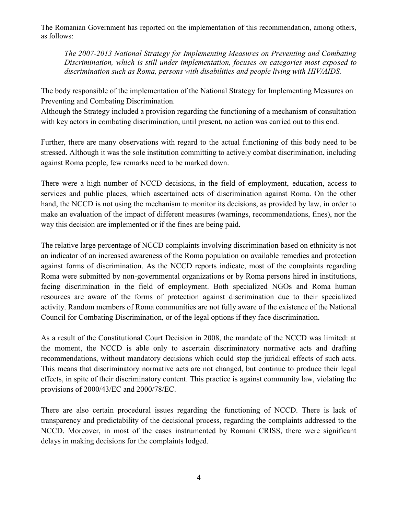The Romanian Government has reported on the implementation of this recommendation, among others, as follows:

*The 2007-2013 National Strategy for Implementing Measures on Preventing and Combating Discrimination, which is still under implementation, focuses on categories most exposed to discrimination such as Roma, persons with disabilities and people living with HIV/AIDS.*

The body responsible of the implementation of the National Strategy for Implementing Measures on Preventing and Combating Discrimination.

Although the Strategy included a provision regarding the functioning of a mechanism of consultation with key actors in combating discrimination, until present, no action was carried out to this end.

Further, there are many observations with regard to the actual functioning of this body need to be stressed. Although it was the sole institution committing to actively combat discrimination, including against Roma people, few remarks need to be marked down.

There were a high number of NCCD decisions, in the field of employment, education, access to services and public places, which ascertained acts of discrimination against Roma. On the other hand, the NCCD is not using the mechanism to monitor its decisions, as provided by law, in order to make an evaluation of the impact of different measures (warnings, recommendations, fines), nor the way this decision are implemented or if the fines are being paid.

The relative large percentage of NCCD complaints involving discrimination based on ethnicity is not an indicator of an increased awareness of the Roma population on available remedies and protection against forms of discrimination. As the NCCD reports indicate, most of the complaints regarding Roma were submitted by non-governmental organizations or by Roma persons hired in institutions, facing discrimination in the field of employment. Both specialized NGOs and Roma human resources are aware of the forms of protection against discrimination due to their specialized activity. Random members of Roma communities are not fully aware of the existence of the National Council for Combating Discrimination, or of the legal options if they face discrimination.

As a result of the Constitutional Court Decision in 2008, the mandate of the NCCD was limited: at the moment, the NCCD is able only to ascertain discriminatory normative acts and drafting recommendations, without mandatory decisions which could stop the juridical effects of such acts. This means that discriminatory normative acts are not changed, but continue to produce their legal effects, in spite of their discriminatory content. This practice is against community law, violating the provisions of 2000/43/EC and 2000/78/EC.

There are also certain procedural issues regarding the functioning of NCCD. There is lack of transparency and predictability of the decisional process, regarding the complaints addressed to the NCCD. Moreover, in most of the cases instrumented by Romani CRISS, there were significant delays in making decisions for the complaints lodged.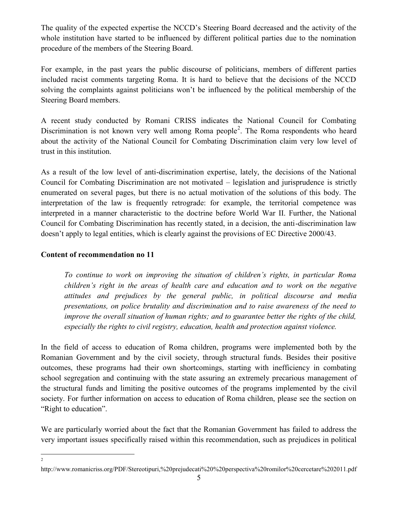The quality of the expected expertise the NCCD's Steering Board decreased and the activity of the whole institution have started to be influenced by different political parties due to the nomination procedure of the members of the Steering Board.

For example, in the past years the public discourse of politicians, members of different parties included racist comments targeting Roma. It is hard to believe that the decisions of the NCCD solving the complaints against politicians won't be influenced by the political membership of the Steering Board members.

A recent study conducted by Romani CRISS indicates the National Council for Combating Discrimination is not known very well among Roma people<sup>2</sup>. The Roma respondents who heard about the activity of the National Council for Combating Discrimination claim very low level of trust in this institution.

As a result of the low level of anti-discrimination expertise, lately, the decisions of the National Council for Combating Discrimination are not motivated – legislation and jurisprudence is strictly enumerated on several pages, but there is no actual motivation of the solutions of this body. The interpretation of the law is frequently retrograde: for example, the territorial competence was interpreted in a manner characteristic to the doctrine before World War II. Further, the National Council for Combating Discrimination has recently stated, in a decision, the anti-discrimination law doesn't apply to legal entities, which is clearly against the provisions of EC Directive 2000/43.

# **Content of recommendation no 11**

2

*To continue to work on improving the situation of children's rights, in particular Roma children's right in the areas of health care and education and to work on the negative attitudes and prejudices by the general public, in political discourse and media presentations, on police brutality and discrimination and to raise awareness of the need to improve the overall situation of human rights; and to guarantee better the rights of the child, especially the rights to civil registry, education, health and protection against violence.*

In the field of access to education of Roma children, programs were implemented both by the Romanian Government and by the civil society, through structural funds. Besides their positive outcomes, these programs had their own shortcomings, starting with inefficiency in combating school segregation and continuing with the state assuring an extremely precarious management of the structural funds and limiting the positive outcomes of the programs implemented by the civil society. For further information on access to education of Roma children, please see the section on "Right to education".

We are particularly worried about the fact that the Romanian Government has failed to address the very important issues specifically raised within this recommendation, such as prejudices in political

http://www.romanicriss.org/PDF/Stereotipuri,%20prejudecati%20%20perspectiva%20romilor%20cercetare%202011.pdf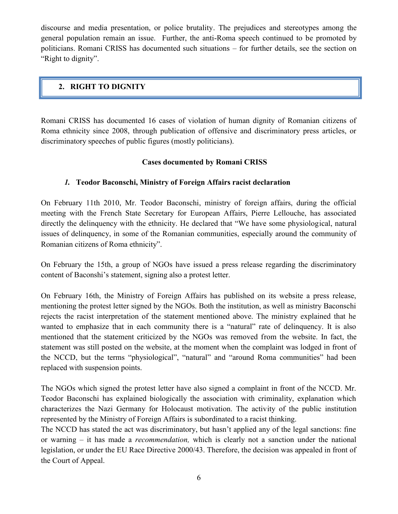discourse and media presentation, or police brutality. The prejudices and stereotypes among the general population remain an issue. Further, the anti-Roma speech continued to be promoted by politicians. Romani CRISS has documented such situations – for further details, see the section on "Right to dignity".

# **2. RIGHT TO DIGNITY**

Romani CRISS has documented 16 cases of violation of human dignity of Romanian citizens of Roma ethnicity since 2008, through publication of offensive and discriminatory press articles, or discriminatory speeches of public figures (mostly politicians).

# **Cases documented by Romani CRISS**

# *1.* **Teodor Baconschi, Ministry of Foreign Affairs racist declaration**

On February 11th 2010, Mr. Teodor Baconschi, ministry of foreign affairs, during the official meeting with the French State Secretary for European Affairs, Pierre Lellouche, has associated directly the delinquency with the ethnicity. He declared that "We have some physiological, natural issues of delinquency, in some of the Romanian communities, especially around the community of Romanian citizens of Roma ethnicity".

On February the 15th, a group of NGOs have issued a press release regarding the discriminatory content of Baconshi's statement, signing also a protest letter.

On February 16th, the Ministry of Foreign Affairs has published on its website a press release, mentioning the protest letter signed by the NGOs. Both the institution, as well as ministry Baconschi rejects the racist interpretation of the statement mentioned above. The ministry explained that he wanted to emphasize that in each community there is a "natural" rate of delinquency. It is also mentioned that the statement criticized by the NGOs was removed from the website. In fact, the statement was still posted on the website, at the moment when the complaint was lodged in front of the NCCD, but the terms "physiological", "natural" and "around Roma communities" had been replaced with suspension points.

The NGOs which signed the protest letter have also signed a complaint in front of the NCCD. Mr. Teodor Baconschi has explained biologically the association with criminality, explanation which characterizes the Nazi Germany for Holocaust motivation. The activity of the public institution represented by the Ministry of Foreign Affairs is subordinated to a racist thinking.

The NCCD has stated the act was discriminatory, but hasn't applied any of the legal sanctions: fine or warning – it has made a *recommendation,* which is clearly not a sanction under the national legislation, or under the EU Race Directive 2000/43. Therefore, the decision was appealed in front of the Court of Appeal.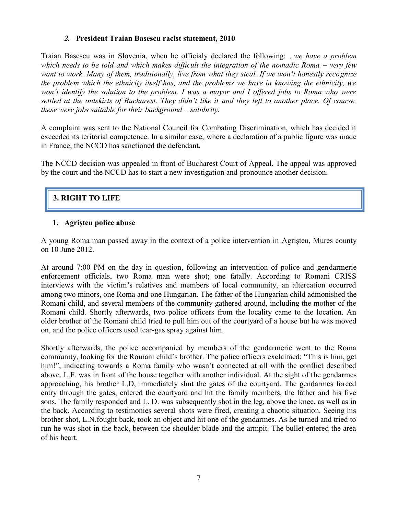#### *2.* **President Traian Basescu racist statement, 2010**

Traian Basescu was in Slovenia, when he officialy declared the following: "we have a problem *which needs to be told and which makes difficult the integration of the nomadic Roma – very few want to work. Many of them, traditionally, live from what they steal. If we won't honestly recognize the problem which the ethnicity itself has, and the problems we have in knowing the ethnicity, we won't identify the solution to the problem. I was a mayor and I offered jobs to Roma who were settled at the outskirts of Bucharest. They didn't like it and they left to another place. Of course, these were jobs suitable for their background – salubrity.*

A complaint was sent to the National Council for Combating Discrimination, which has decided it exceeded its teritorial competence. In a similar case, where a declaration of a public figure was made in France, the NCCD has sanctioned the defendant.

The NCCD decision was appealed in front of Bucharest Court of Appeal. The appeal was approved by the court and the NCCD has to start a new investigation and pronounce another decision.

# **3. RIGHT TO LIFE**

#### **1. Agrişteu police abuse**

A young Roma man passed away in the context of a police intervention in Agrişteu, Mures county on 10 June 2012.

At around 7:00 PM on the day in question, following an intervention of police and gendarmerie enforcement officials, two Roma man were shot; one fatally. According to Romani CRISS interviews with the victim's relatives and members of local community, an altercation occurred among two minors, one Roma and one Hungarian. The father of the Hungarian child admonished the Romani child, and several members of the community gathered around, including the mother of the Romani child. Shortly afterwards, two police officers from the locality came to the location. An older brother of the Romani child tried to pull him out of the courtyard of a house but he was moved on, and the police officers used tear-gas spray against him.

Shortly afterwards, the police accompanied by members of the gendarmerie went to the Roma community, looking for the Romani child's brother. The police officers exclaimed: "This is him, get him!", indicating towards a Roma family who wasn't connected at all with the conflict described above. L.F. was in front of the house together with another individual. At the sight of the gendarmes approaching, his brother L,D, immediately shut the gates of the courtyard. The gendarmes forced entry through the gates, entered the courtyard and hit the family members, the father and his five sons. The family responded and L. D. was subsequently shot in the leg, above the knee, as well as in the back. According to testimonies several shots were fired, creating a chaotic situation. Seeing his brother shot, L.N.fought back, took an object and hit one of the gendarmes. As he turned and tried to run he was shot in the back, between the shoulder blade and the armpit. The bullet entered the area of his heart.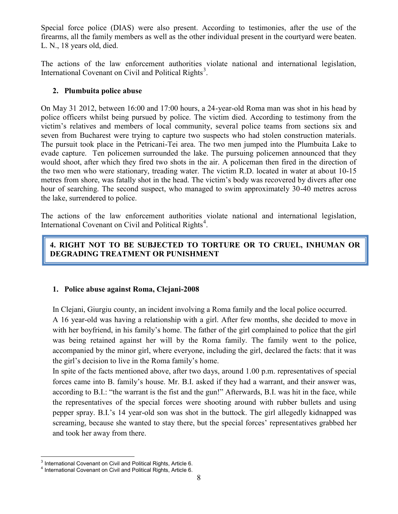Special force police (DIAS) were also present. According to testimonies, after the use of the firearms, all the family members as well as the other individual present in the courtyard were beaten. L. N., 18 years old, died.

The actions of the law enforcement authorities violate national and international legislation, International Covenant on Civil and Political Rights<sup>3</sup>.

### **2. Plumbuita police abuse**

On May 31 2012, between 16:00 and 17:00 hours, a 24-year-old Roma man was shot in his head by police officers whilst being pursued by police. The victim died. According to testimony from the victim's relatives and members of local community, several police teams from sections six and seven from Bucharest were trying to capture two suspects who had stolen construction materials. The pursuit took place in the Petricani-Tei area. The two men jumped into the Plumbuita Lake to evade capture. Ten policemen surrounded the lake. The pursuing policemen announced that they would shoot, after which they fired two shots in the air. A policeman then fired in the direction of the two men who were stationary, treading water. The victim R.D. located in water at about 10-15 metres from shore, was fatally shot in the head. The victim's body was recovered by divers after one hour of searching. The second suspect, who managed to swim approximately 30-40 metres across the lake, surrendered to police.

The actions of the law enforcement authorities violate national and international legislation, International Covenant on Civil and Political Rights<sup>4</sup>.

# **4. RIGHT NOT TO BE SUBJECTED TO TORTURE OR TO CRUEL, INHUMAN OR DEGRADING TREATMENT OR PUNISHMENT**

#### **1. Police abuse against Roma, Clejani-2008**

In Clejani, Giurgiu county, an incident involving a Roma family and the local police occurred.

A 16 year-old was having a relationship with a girl. After few months, she decided to move in with her boyfriend, in his family's home. The father of the girl complained to police that the girl was being retained against her will by the Roma family. The family went to the police, accompanied by the minor girl, where everyone, including the girl, declared the facts: that it was the girl's decision to live in the Roma family's home.

In spite of the facts mentioned above, after two days, around 1.00 p.m. representatives of special forces came into B. family's house. Mr. B.I. asked if they had a warrant, and their answer was, according to B.I.: "the warrant is the fist and the gun!" Afterwards, B.I. was hit in the face, while the representatives of the special forces were shooting around with rubber bullets and using pepper spray. B.I.'s 14 year-old son was shot in the buttock. The girl allegedly kidnapped was screaming, because she wanted to stay there, but the special forces' representatives grabbed her and took her away from there.

<sup>&</sup>lt;sup>3</sup> International Covenant on Civil and Political Rights, Article 6.<br><sup>4</sup> International Covenant on Civil and Political Rights, Article 6.

<sup>&</sup>lt;sup>4</sup> International Covenant on Civil and Political Rights, Article 6.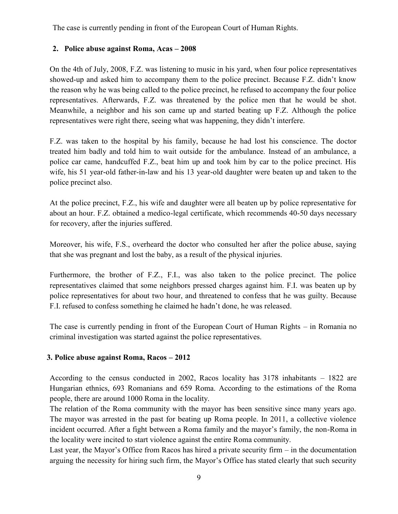The case is currently pending in front of the European Court of Human Rights.

# **2. Police abuse against Roma, Acas – 2008**

On the 4th of July, 2008, F.Z. was listening to music in his yard, when four police representatives showed-up and asked him to accompany them to the police precinct. Because F.Z. didn't know the reason why he was being called to the police precinct, he refused to accompany the four police representatives. Afterwards, F.Z. was threatened by the police men that he would be shot. Meanwhile, a neighbor and his son came up and started beating up F.Z. Although the police representatives were right there, seeing what was happening, they didn't interfere.

F.Z. was taken to the hospital by his family, because he had lost his conscience. The doctor treated him badly and told him to wait outside for the ambulance. Instead of an ambulance, a police car came, handcuffed F.Z., beat him up and took him by car to the police precinct. His wife, his 51 year-old father-in-law and his 13 year-old daughter were beaten up and taken to the police precinct also.

At the police precinct, F.Z., his wife and daughter were all beaten up by police representative for about an hour. F.Z. obtained a medico-legal certificate, which recommends 40-50 days necessary for recovery, after the injuries suffered.

Moreover, his wife, F.S., overheard the doctor who consulted her after the police abuse, saying that she was pregnant and lost the baby, as a result of the physical injuries.

Furthermore, the brother of F.Z., F.I., was also taken to the police precinct. The police representatives claimed that some neighbors pressed charges against him. F.I. was beaten up by police representatives for about two hour, and threatened to confess that he was guilty. Because F.I. refused to confess something he claimed he hadn't done, he was released.

The case is currently pending in front of the European Court of Human Rights – in Romania no criminal investigation was started against the police representatives.

#### **3. Police abuse against Roma, Racos – 2012**

According to the census conducted in 2002, Racos locality has 3178 inhabitants – 1822 are Hungarian ethnics, 693 Romanians and 659 Roma. According to the estimations of the Roma people, there are around 1000 Roma in the locality.

The relation of the Roma community with the mayor has been sensitive since many years ago. The mayor was arrested in the past for beating up Roma people. In 2011, a collective violence incident occurred. After a fight between a Roma family and the mayor's family, the non-Roma in the locality were incited to start violence against the entire Roma community.

Last year, the Mayor's Office from Racos has hired a private security firm – in the documentation arguing the necessity for hiring such firm, the Mayor's Office has stated clearly that such security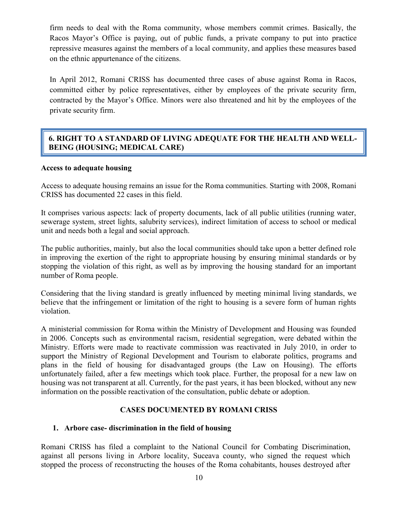firm needs to deal with the Roma community, whose members commit crimes. Basically, the Racos Mayor's Office is paying, out of public funds, a private company to put into practice repressive measures against the members of a local community, and applies these measures based on the ethnic appurtenance of the citizens.

In April 2012, Romani CRISS has documented three cases of abuse against Roma in Racos, committed either by police representatives, either by employees of the private security firm, contracted by the Mayor's Office. Minors were also threatened and hit by the employees of the private security firm.

### **6. RIGHT TO A STANDARD OF LIVING ADEQUATE FOR THE HEALTH AND WELL- BEING (HOUSING; MEDICAL CARE)**

#### **Access to adequate housing**

Access to adequate housing remains an issue for the Roma communities. Starting with 2008, Romani CRISS has documented 22 cases in this field.

It comprises various aspects: lack of property documents, lack of all public utilities (running water, sewerage system, street lights, salubrity services), indirect limitation of access to school or medical unit and needs both a legal and social approach.

The public authorities, mainly, but also the local communities should take upon a better defined role in improving the exertion of the right to appropriate housing by ensuring minimal standards or by stopping the violation of this right, as well as by improving the housing standard for an important number of Roma people.

Considering that the living standard is greatly influenced by meeting minimal living standards, we believe that the infringement or limitation of the right to housing is a severe form of human rights violation.

A ministerial commission for Roma within the Ministry of Development and Housing was founded in 2006. Concepts such as environmental racism, residential segregation, were debated within the Ministry. Efforts were made to reactivate commission was reactivated in July 2010, in order to support the Ministry of Regional Development and Tourism to elaborate politics, programs and plans in the field of housing for disadvantaged groups (the Law on Housing). The efforts unfortunately failed, after a few meetings which took place. Further, the proposal for a new law on housing was not transparent at all. Currently, for the past years, it has been blocked, without any new information on the possible reactivation of the consultation, public debate or adoption.

#### **CASES DOCUMENTED BY ROMANI CRISS**

#### **1. Arbore case- discrimination in the field of housing**

Romani CRISS has filed a complaint to the National Council for Combating Discrimination, against all persons living in Arbore locality, Suceava county, who signed the request which stopped the process of reconstructing the houses of the Roma cohabitants, houses destroyed after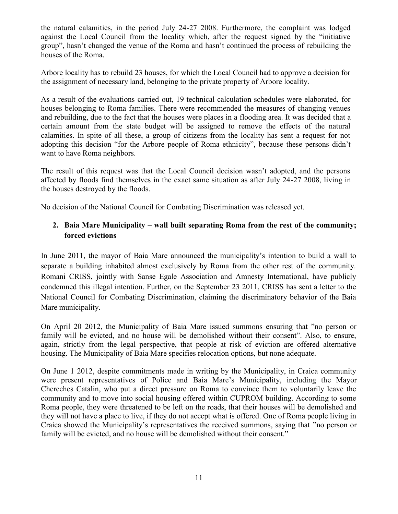the natural calamities, in the period July 24-27 2008. Furthermore, the complaint was lodged against the Local Council from the locality which, after the request signed by the "initiative group", hasn't changed the venue of the Roma and hasn't continued the process of rebuilding the houses of the Roma.

Arbore locality has to rebuild 23 houses, for which the Local Council had to approve a decision for the assignment of necessary land, belonging to the private property of Arbore locality.

As a result of the evaluations carried out, 19 technical calculation schedules were elaborated, for houses belonging to Roma families. There were recommended the measures of changing venues and rebuilding, due to the fact that the houses were places in a flooding area. It was decided that a certain amount from the state budget will be assigned to remove the effects of the natural calamities. In spite of all these, a group of citizens from the locality has sent a request for not adopting this decision "for the Arbore people of Roma ethnicity", because these persons didn't want to have Roma neighbors.

The result of this request was that the Local Council decision wasn't adopted, and the persons affected by floods find themselves in the exact same situation as after July 24-27 2008, living in the houses destroyed by the floods.

No decision of the National Council for Combating Discrimination was released yet.

# **2. Baia Mare Municipality – wall built separating Roma from the rest of the community; forced evictions**

In June 2011, the mayor of Baia Mare announced the municipality's intention to build a wall to separate a building inhabited almost exclusively by Roma from the other rest of the community. Romani CRISS, jointly with Sanse Egale Association and Amnesty International, have publicly condemned this illegal intention. Further, on the September 23 2011, CRISS has sent a letter to the National Council for Combating Discrimination, claiming the discriminatory behavior of the Baia Mare municipality.

On April 20 2012, the Municipality of Baia Mare issued summons ensuring that "no person or family will be evicted, and no house will be demolished without their consent". Also, to ensure, again, strictly from the legal perspective, that people at risk of eviction are offered alternative housing. The Municipality of Baia Mare specifies relocation options, but none adequate.

On June 1 2012, despite commitments made in writing by the Municipality, in Craica community were present representatives of Police and Baia Mare's Municipality, including the Mayor Chereches Catalin, who put a direct pressure on Roma to convince them to voluntarily leave the community and to move into social housing offered within CUPROM building. According to some Roma people, they were threatened to be left on the roads, that their houses will be demolished and they will not have a place to live, if they do not accept what is offered. One of Roma people living in Craica showed the Municipality's representatives the received summons, saying that "no person or family will be evicted, and no house will be demolished without their consent."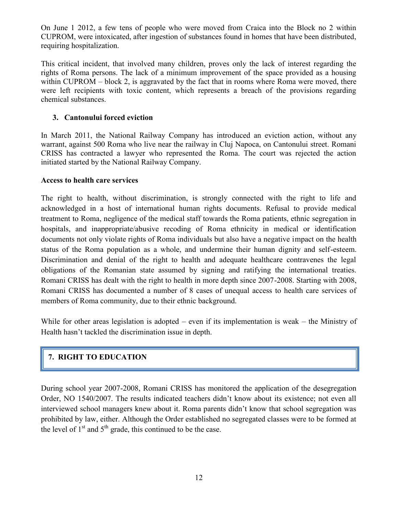On June 1 2012, a few tens of people who were moved from Craica into the Block no 2 within CUPROM, were intoxicated, after ingestion of substances found in homes that have been distributed, requiring hospitalization.

This critical incident, that involved many children, proves only the lack of interest regarding the rights of Roma persons. The lack of a minimum improvement of the space provided as a housing within CUPROM – block 2, is aggravated by the fact that in rooms where Roma were moved, there were left recipients with toxic content, which represents a breach of the provisions regarding chemical substances.

# **3. Cantonului forced eviction**

In March 2011, the National Railway Company has introduced an eviction action, without any warrant, against 500 Roma who live near the railway in Cluj Napoca, on Cantonului street. Romani CRISS has contracted a lawyer who represented the Roma. The court was rejected the action initiated started by the National Railway Company.

#### **Access to health care services**

The right to health, without discrimination, is strongly connected with the right to life and acknowledged in a host of international human rights documents. Refusal to provide medical treatment to Roma, negligence of the medical staff towards the Roma patients, ethnic segregation in hospitals, and inappropriate/abusive recoding of Roma ethnicity in medical or identification documents not only violate rights of Roma individuals but also have a negative impact on the health status of the Roma population as a whole, and undermine their human dignity and self-esteem. Discrimination and denial of the right to health and adequate healthcare contravenes the legal obligations of the Romanian state assumed by signing and ratifying the international treaties. Romani CRISS has dealt with the right to health in more depth since 2007-2008. Starting with 2008, Romani CRISS has documented a number of 8 cases of unequal access to health care services of members of Roma community, due to their ethnic background.

While for other areas legislation is adopted – even if its implementation is weak – the Ministry of Health hasn't tackled the discrimination issue in depth.

# **7. RIGHT TO EDUCATION**

During school year 2007-2008, Romani CRISS has monitored the application of the desegregation Order, NO 1540/2007. The results indicated teachers didn't know about its existence; not even all interviewed school managers knew about it. Roma parents didn't know that school segregation was prohibited by law, either. Although the Order established no segregated classes were to be formed at the level of  $1<sup>st</sup>$  and  $5<sup>th</sup>$  grade, this continued to be the case.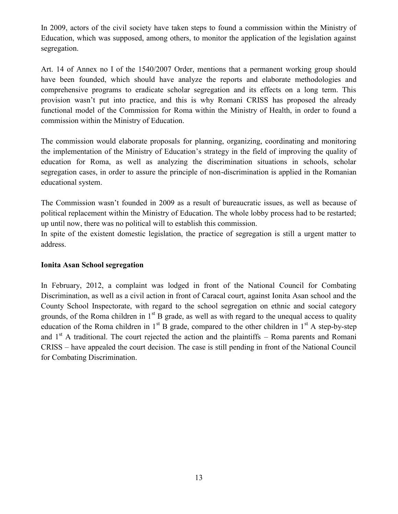In 2009, actors of the civil society have taken steps to found a commission within the Ministry of Education, which was supposed, among others, to monitor the application of the legislation against segregation.

Art. 14 of Annex no I of the 1540/2007 Order, mentions that a permanent working group should have been founded, which should have analyze the reports and elaborate methodologies and comprehensive programs to eradicate scholar segregation and its effects on a long term. This provision wasn't put into practice, and this is why Romani CRISS has proposed the already functional model of the Commission for Roma within the Ministry of Health, in order to found a commission within the Ministry of Education.

The commission would elaborate proposals for planning, organizing, coordinating and monitoring the implementation of the Ministry of Education's strategy in the field of improving the quality of education for Roma, as well as analyzing the discrimination situations in schools, scholar segregation cases, in order to assure the principle of non-discrimination is applied in the Romanian educational system.

The Commission wasn't founded in 2009 as a result of bureaucratic issues, as well as because of political replacement within the Ministry of Education. The whole lobby process had to be restarted; up until now, there was no political will to establish this commission.

In spite of the existent domestic legislation, the practice of segregation is still a urgent matter to address.

#### **Ionita Asan School segregation**

In February, 2012, a complaint was lodged in front of the National Council for Combating Discrimination, as well as a civil action in front of Caracal court, against Ionita Asan school and the County School Inspectorate, with regard to the school segregation on ethnic and social category grounds, of the Roma children in  $1<sup>st</sup>$  B grade, as well as with regard to the unequal access to quality education of the Roma children in  $1<sup>st</sup>$  B grade, compared to the other children in  $1<sup>st</sup>$  A step-by-step and  $1<sup>st</sup>$  A traditional. The court rejected the action and the plaintiffs – Roma parents and Romani CRISS – have appealed the court decision. The case is still pending in front of the National Council for Combating Discrimination.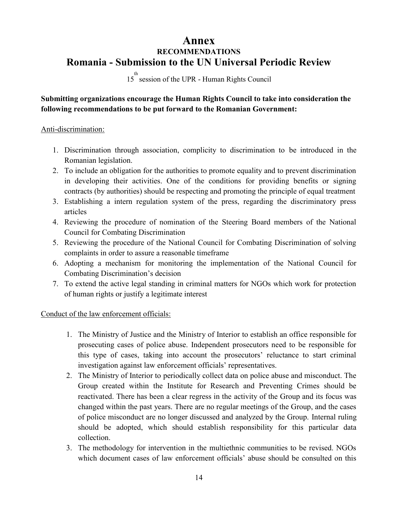# **Annex RECOMMENDATIONS Romania - Submission to the UN Universal Periodic Review**

15<sup>th</sup> session of the UPR - Human Rights Council

# **Submitting organizations encourage the Human Rights Council to take into consideration the following recommendations to be put forward to the Romanian Government:**

#### Anti-discrimination:

- 1. Discrimination through association, complicity to discrimination to be introduced in the Romanian legislation.
- 2. To include an obligation for the authorities to promote equality and to prevent discrimination in developing their activities. One of the conditions for providing benefits or signing contracts (by authorities) should be respecting and promoting the principle of equal treatment
- 3. Establishing a intern regulation system of the press, regarding the discriminatory press articles
- 4. Reviewing the procedure of nomination of the Steering Board members of the National Council for Combating Discrimination
- 5. Reviewing the procedure of the National Council for Combating Discrimination of solving complaints in order to assure a reasonable timeframe
- 6. Adopting a mechanism for monitoring the implementation of the National Council for Combating Discrimination's decision
- 7. To extend the active legal standing in criminal matters for NGOs which work for protection of human rights or justify a legitimate interest

#### Conduct of the law enforcement officials:

- 1. The Ministry of Justice and the Ministry of Interior to establish an office responsible for prosecuting cases of police abuse. Independent prosecutors need to be responsible for this type of cases, taking into account the prosecutors' reluctance to start criminal investigation against law enforcement officials' representatives.
- 2. The Ministry of Interior to periodically collect data on police abuse and misconduct. The Group created within the Institute for Research and Preventing Crimes should be reactivated. There has been a clear regress in the activity of the Group and its focus was changed within the past years. There are no regular meetings of the Group, and the cases of police misconduct are no longer discussed and analyzed by the Group. Internal ruling should be adopted, which should establish responsibility for this particular data collection.
- 3. The methodology for intervention in the multiethnic communities to be revised. NGOs which document cases of law enforcement officials' abuse should be consulted on this